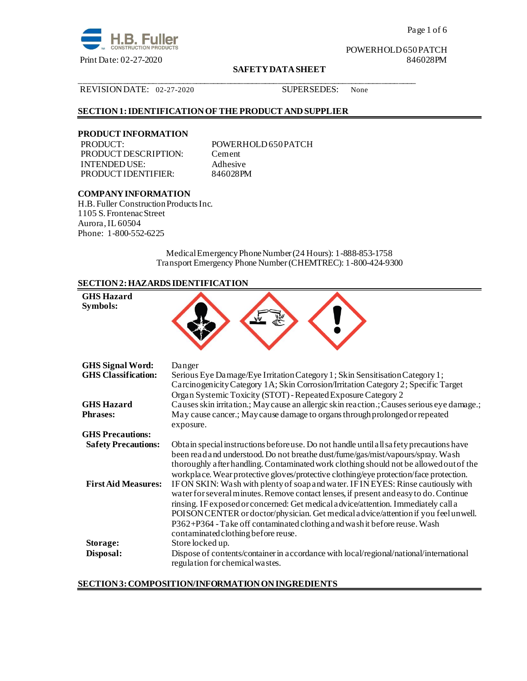

Page 1 of 6

POWERHOLD 650 PATCH

#### **SAFETY DATA SHEET**

#### REVISION DATE: 02-27-2020 SUPERSEDES: None

### **SECTION 1: IDENTIFICATION OF THE PRODUCT AND SUPPLIER**

## **PRODUCT INFORMATION**

PRODUCT DESCRIPTION: Cement INTENDED USE: Adhesive<br>PRODUCT IDENTIFIER: 846028PM PRODUCT IDENTIFIER:

POWERHOLD 650 PATCH

\_\_\_\_\_\_\_\_\_\_\_\_\_\_\_\_\_\_\_\_\_\_\_\_\_\_\_\_\_\_\_\_\_\_\_\_\_\_\_\_\_\_\_\_\_\_\_\_\_\_\_\_\_\_\_\_\_\_\_\_\_\_\_\_\_\_\_\_\_\_\_\_\_\_\_\_\_\_

## **COMPANY INFORMATION**

H.B. Fuller Construction Products Inc. 1105 S. Frontenac Street Aurora, IL 60504 Phone: 1-800-552-6225

> Medical Emergency Phone Number (24 Hours): 1-888-853-1758 Transport Emergency Phone Number (CHEMTREC): 1-800-424-9300

## **SECTION 2: HAZARDS IDENTIFICATION**

| <b>GHS Hazard</b><br>Symbols:                            |                                                                                                                                                                                                                                                                                                                                                                                                                                                                                                                                                                                                                                                                                                                                                                                                        |
|----------------------------------------------------------|--------------------------------------------------------------------------------------------------------------------------------------------------------------------------------------------------------------------------------------------------------------------------------------------------------------------------------------------------------------------------------------------------------------------------------------------------------------------------------------------------------------------------------------------------------------------------------------------------------------------------------------------------------------------------------------------------------------------------------------------------------------------------------------------------------|
| <b>GHS Signal Word:</b><br><b>GHS Classification:</b>    | Danger<br>Serious Eye Damage/Eye Irritation Category 1; Skin Sensitisation Category 1;<br>Carcinogenicity Category 1A; Skin Corrosion/Irritation Category 2; Specific Target<br>Organ Systemic Toxicity (STOT) - Repeated Exposure Category 2                                                                                                                                                                                                                                                                                                                                                                                                                                                                                                                                                          |
| <b>GHS Hazard</b><br><b>Phrases:</b>                     | Causes skin irritation.; May cause an allergic skin reaction.; Causes serious eye damage.;<br>May cause cancer.; May cause damage to organs through prolonged or repeated<br>exposure.                                                                                                                                                                                                                                                                                                                                                                                                                                                                                                                                                                                                                 |
| <b>GHS Precautions:</b>                                  |                                                                                                                                                                                                                                                                                                                                                                                                                                                                                                                                                                                                                                                                                                                                                                                                        |
| <b>Safety Precautions:</b><br><b>First Aid Measures:</b> | Obtain special instructions before use. Do not handle until all safety precautions have<br>been read and understood. Do not breathe dust/fume/gas/mist/vapours/spray. Wash<br>thoroughly after handling. Contaminated work clothing should not be allowed out of the<br>workplace. Wear protective gloves/protective clothing/eye protection/face protection.<br>IF ON SKIN: Wash with plenty of soap and water. IF IN EYES: Rinse cautiously with<br>water for several minutes. Remove contact lenses, if present and easy to do. Continue<br>rinsing. IF exposed or concerned: Get medical advice/attention. Immediately call a<br>POISON CENTER or doctor/physician. Get medical a dvice/attention if you feel unwell.<br>P362+P364 - Take off contaminated clothing and wash it before reuse. Wash |
| Storage:<br>Disposal:                                    | contaminated clothing before reuse.<br>Store locked up.<br>Dispose of contents/container in accordance with local/regional/national/international<br>regulation for chemical wastes.                                                                                                                                                                                                                                                                                                                                                                                                                                                                                                                                                                                                                   |

## **SECTION 3: COMPOSITION/INFORMATION ON INGREDIENTS**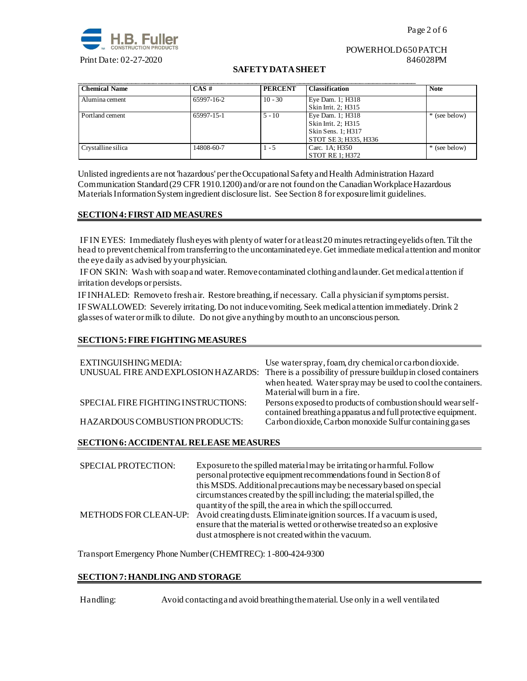

#### POWERHOLD 650 PATCH Print Date: 02-27-2020 846028PM

## **SAFETY DATA SHEET**

| <b>Chemical Name</b> | $CAS \#$   | <b>PERCENT</b> | <b>Classification</b>                                                                  | <b>Note</b>   |
|----------------------|------------|----------------|----------------------------------------------------------------------------------------|---------------|
| Alumina cement       | 65997-16-2 | $10 - 30$      | Eye Dam. 1; H318<br>Skin Irrit. 2; H315                                                |               |
| Portland cement      | 65997-15-1 | $5 - 10$       | Eye Dam. 1; H318<br>Skin Irrit. 2; H315<br>Skin Sens. 1; H317<br>STOT SE 3; H335, H336 | * (see below) |
| Crystalline silica   | 14808-60-7 | $-5$           | Carc. 1A; H350<br>STOT RE 1: H372                                                      | * (see below) |

Unlisted ingredients are not 'hazardous' per the Occupational Safety and Health Administration Hazard Communication Standard (29 CFR 1910.1200) and/or are not found on the Canadian Workplace Hazardous Materials Information System ingredient disclosure list. See Section 8 for exposure limit guidelines.

### **SECTION 4: FIRST AID MEASURES**

IF IN EYES: Immediately flush eyes with plenty of water for at least 20 minutes retracting eyelids often. Tilt the head to prevent chemical from transferring to the uncontaminated eye. Get immediate medical attention and monitor the eye daily as advised by your physician.

IF ON SKIN: Wash with soap and water.Remove contaminated clothing and launder. Get medical attention if irritation develops or persists.

IF INHALED: Remove to fresh air. Restore breathing, if necessary. Call a physician if symptoms persist. IF SWALLOWED:Severely irritating. Do not induce vomiting. Seek medical attention immediately. Drink 2 glasses of water or milk to dilute. Do not give anything by mouth to an unconscious person.

## **SECTION 5: FIRE FIGHTING MEASURES**

| EXTINGUISHING MEDIA:<br>UNUSUAL FIRE AND EXPLOSION HAZARDS: | Use water spray, foam, dry chemical or carbon dioxide.<br>There is a possibility of pressure buildup in closed containers<br>when heated. Water spray may be used to cool the containers.<br>Material will burn in a fire. |
|-------------------------------------------------------------|----------------------------------------------------------------------------------------------------------------------------------------------------------------------------------------------------------------------------|
| SPECIAL FIRE FIGHTING INSTRUCTIONS:                         | Persons exposed to products of combustion should wear self-<br>contained breathing apparatus and full protective equipment.                                                                                                |
| HAZARDOUS COMBUSTION PRODUCTS:                              | Carbon dioxide, Carbon monoxide Sulfur containing gases                                                                                                                                                                    |

## **SECTION 6: ACCIDENTAL RELEASE MEASURES**

| SPECIAL PROTECTION: | Exposure to the spilled material may be irritating or harmful. Follow<br>personal protective equipment recommendations found in Section 8 of<br>this MSDS. Additional precautions may be necessary based on special<br>circumstances created by the spill including; the material spilled, the |
|---------------------|------------------------------------------------------------------------------------------------------------------------------------------------------------------------------------------------------------------------------------------------------------------------------------------------|
|                     | quantity of the spill, the area in which the spill occurred.<br>METHODS FOR CLEAN-UP: Avoid creating dusts. Eliminate ignition sources. If a vacuum is used,<br>ensure that the material is wetted or otherwise treated so an explosive<br>dust a tmosphere is not created within the vacuum.  |

Transport Emergency Phone Number (CHEMTREC): 1-800-424-9300

## **SECTION 7: HANDLING AND STORAGE**

Handling: Avoid contacting and avoid breathing the material. Use only in a well ventilated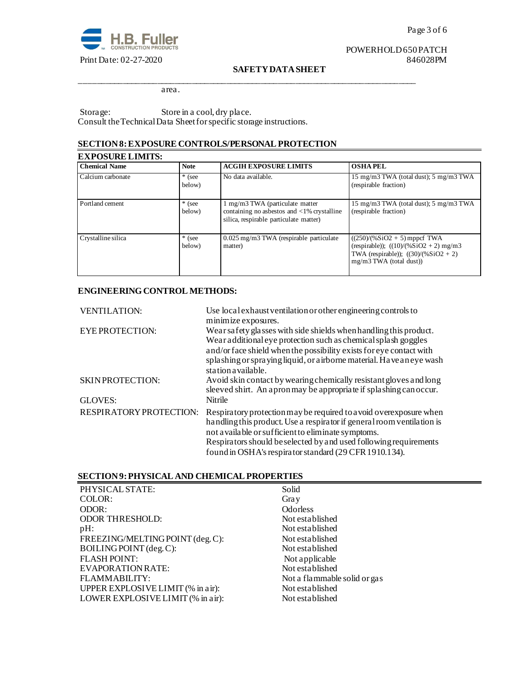

# POWERHOLD 650 PATCH<br>846028PM

#### **SAFETY DATA SHEET**

\_\_\_\_\_\_\_\_\_\_\_\_\_\_\_\_\_\_\_\_\_\_\_\_\_\_\_\_\_\_\_\_\_\_\_\_\_\_\_\_\_\_\_\_\_\_\_\_\_\_\_\_\_\_\_\_\_\_\_\_\_\_\_\_\_\_\_\_\_\_\_\_\_\_\_\_\_\_

area.

Storage: Store in a cool, dry place. Consult the Technical Data Sheet for specific storage instructions.

## **SECTION 8: EXPOSURE CONTROLS/PERSONAL PROTECTION**

| <b>EXPOSURE LIMITS:</b> |                    |                                                                                                                                    |                                                                                                                                                  |  |
|-------------------------|--------------------|------------------------------------------------------------------------------------------------------------------------------------|--------------------------------------------------------------------------------------------------------------------------------------------------|--|
| <b>Chemical Name</b>    | <b>Note</b>        | <b>ACGIH EXPOSURE LIMITS</b>                                                                                                       | <b>OSHAPEL</b>                                                                                                                                   |  |
| Calcium carbonate       | $*$ (see<br>below) | No data available.                                                                                                                 | 15 mg/m3 TWA (total dust); 5 mg/m3 TWA<br>(respirable fraction)                                                                                  |  |
| Portland cement         | $*$ (see<br>below) | 1 mg/m3 TWA (particulate matter)<br>containing no asbestos and $\langle 1\%$ crystalline<br>silica, respirable particulate matter) | 15 mg/m3 TWA (total dust); 5 mg/m3 TWA<br>(respirable fraction)                                                                                  |  |
| Crystalline silica      | $*$ (see<br>below) | $0.025$ mg/m3 TWA (respirable particulate<br>matter)                                                                               | $((250)/(%SiO2 + 5)$ mppcf TWA<br>(respirable)); $((10)/(%SiO2 + 2)$ mg/m3<br>TWA (respirable)); $((30)/(%SiO2 + 2))$<br>mg/m3 TWA (total dust)) |  |

## **ENGINEERING CONTROL METHODS:**

| <b>VENTILATION:</b>            | Use local exhaust ventilation or other engineering controls to<br>minimize exposures.                                                                                                                                                                                                                                              |
|--------------------------------|------------------------------------------------------------------------------------------------------------------------------------------------------------------------------------------------------------------------------------------------------------------------------------------------------------------------------------|
| <b>EYEPROTECTION:</b>          | Wear safety glasses with side shields when handling this product.<br>Wear additional eye protection such as chemical splash goggles<br>and/or face shield when the possibility exists for eye contact with<br>splashing or spraying liquid, or airborne material. Have an eye wash<br>station a vailable.                          |
| <b>SKIN PROTECTION:</b>        | Avoid skin contact by wearing chemically resistant gloves and long<br>sleeved shirt. An apronmay be appropriate if splashing can occur.                                                                                                                                                                                            |
| GLOVES:                        | Nitrile                                                                                                                                                                                                                                                                                                                            |
| <b>RESPIRATORY PROTECTION:</b> | Respiratory protection may be required to a void overexposure when<br>handling this product. Use a respirator if general room ventilation is<br>not a vailable or sufficient to eliminate symptoms.<br>Respirators should be selected by and used following requirements<br>found in OSHA's respirator standard (29 CFR 1910.134). |

## **SECTION 9: PHYSICAL AND CHEMICAL PROPERTIES**

| PHYSICAL STATE:                   | Solid                        |
|-----------------------------------|------------------------------|
| COLOR:                            | Gray                         |
| ODOR:                             | <b>Odorless</b>              |
| <b>ODOR THRESHOLD:</b>            | Not established              |
| pH:                               | Not established              |
| FREEZING/MELTING POINT (deg. C):  | Not established              |
| BOILING POINT (deg. C):           | Not established              |
| <b>FLASH POINT:</b>               | Not applicable               |
| EVAPORATION RATE:                 | Not established              |
| FLAMMABILITY:                     | Not a flammable solid or gas |
| UPPER EXPLOSIVE LIMIT (% in air): | Not established              |
| LOWER EXPLOSIVE LIMIT (% in air): | Not established              |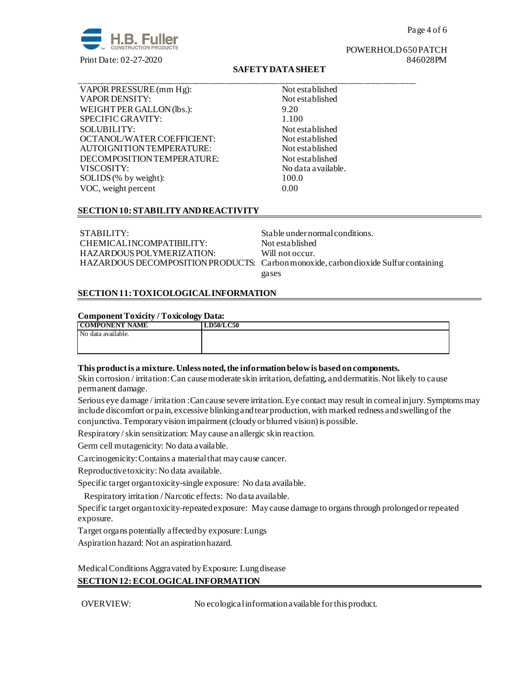

Page 4 of 6

## POWERHOLD 650 PATCH

## **SAFETY DATA SHEET**

\_\_\_\_\_\_\_\_\_\_\_\_\_\_\_\_\_\_\_\_\_\_\_\_\_\_\_\_\_\_\_\_\_\_\_\_\_\_\_\_\_\_\_\_\_\_\_\_\_\_\_\_\_\_\_\_\_\_\_\_\_\_\_\_\_\_\_\_\_\_\_\_\_\_\_\_\_\_

VAPOR PRESSURE (mm Hg): Not established VAPOR DENSITY: Not established WEIGHT PER GALLON (lbs.): 9.20 SPECIFIC GRAVITY: 1.100 SOLUBILITY: Not established OCTANOL/WATER COEFFICIENT: Not established AUTOIGNITION TEMPERATURE: Not established DECOMPOSITION TEMPERATURE: Not established VISCOSITY: No data available. SOLIDS (% by weight): 100.0 VOC, weight percent 0.00

## **SECTION 10: STABILITY AND REACTIVITY**

STABILITY: STABILITY: Stable under normal conditions. CHEMICAL INCOMPATIBILITY: Not established HAZARDOUS POLYMERIZATION: Will not occur.

HAZARDOUS DECOMPOSITION PRODUCTS: Carbon monoxide, carbon dioxide Sulfur containing gases

## **SECTION 11: TOXICOLOGICAL INFORMATION**

#### **Component Toxicity / Toxicology Data:**

| $\sim$<br><b>COMPONENT NAME</b> | <b>LD50/LC50</b> |
|---------------------------------|------------------|
| No data available.              |                  |
|                                 |                  |
|                                 |                  |

### **This product is a mixture. Unless noted, the information below is based on components.**

Skin corrosion / irritation: Can cause moderate skin irritation, defatting, and dermatitis. Not likely to cause permanent damage.

Serious eye damage / irritation :Can cause severe irritation. Eye contact may result in corneal injury. Symptoms may include discomfort or pain, excessive blinking and tear production, with marked redness and swelling of the conjunctiva. Temporary vision impairment (cloudy or blurred vision) is possible.

Respiratory / skin sensitization: May cause an allergic skin reaction.

Germ cell mutagenicity: No data available.

Carcinogenicity: Contains a material that may cause cancer.

Reproductive toxicity: No data available.

Specific target organ toxicity-single exposure:No data available.

Respiratory irritation / Narcotic effects: No data available.

Specific target organ toxicity-repeated exposure:May cause damage to organs through prolonged or repeated exposure.

Target organs potentially affected by exposure: Lungs

Aspiration hazard: Not an aspiration hazard.

Medical Conditions Aggravated by Exposure: Lung disease **SECTION 12: ECOLOGICAL INFORMATION**

OVERVIEW: No ecological information available for this product.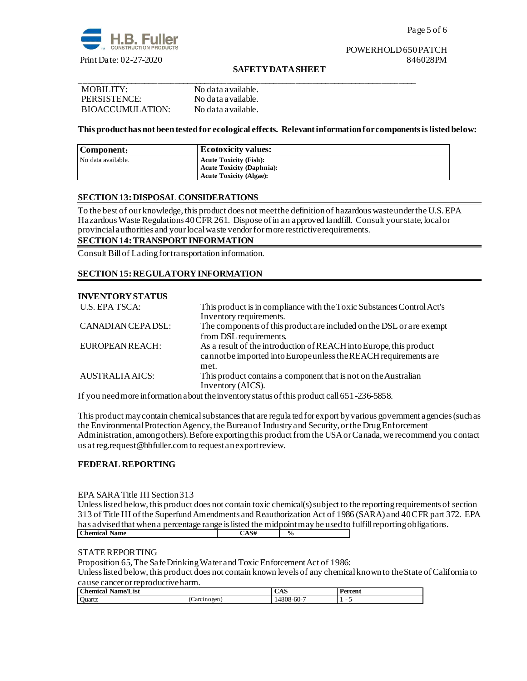

## POWERHOLD 650 PATCH

#### **SAFETY DATA SHEET**

| MOBILITY:        | No data a vailable. |
|------------------|---------------------|
| PERSISTENCE:     | No data a vailable. |
| BIOACCUMULATION: | No data a vailable. |

#### **This product has not been tested for ecological effects. Relevant information for components is listed below:**

| Component:         | <b>Ecotoxicity values:</b>                                        |
|--------------------|-------------------------------------------------------------------|
| No data available. | <b>Acute Toxicity (Fish):</b><br><b>Acute Toxicity (Daphnia):</b> |
|                    | <b>Acute Toxicity (Algae):</b>                                    |

#### **SECTION 13: DISPOSAL CONSIDERATIONS**

To the best of our knowledge, this product does not meet the definition of hazardous waste under the U.S. EPA Hazardous Waste Regulations 40 CFR 261. Dispose of in an approved landfill. Consult your state, local or provincial authorities and your local waste vendor for more restrictive requirements.

## **SECTION 14: TRANSPORT INFORMATION**

Consult Bill of Lading for transportation information.

### **SECTION 15: REGULATORY INFORMATION**

#### **INVENTORY STATUS**

| <b>U.S. EPA TSCA:</b>  | This product is in compliance with the Toxic Substances Control Act's |
|------------------------|-----------------------------------------------------------------------|
|                        | Inventory requirements.                                               |
| CANADIAN CEPA DSL:     | The components of this product are included on the DSL or are exempt  |
|                        | from DSL requirements.                                                |
| EUROPEAN REACH:        | As a result of the introduction of REACH into Europe, this product    |
|                        | cannot be imported into Europe unless the REACH requirements are      |
|                        | met.                                                                  |
| <b>AUSTRALIA AICS:</b> | This product contains a component that is not on the Australian       |
|                        | Inventory (AICS).                                                     |

If you need more information about the inventory status of this product call 651-236-5858.

This product may contain chemical substances that are regula ted for export by various government agencies (such as the Environmental Protection Agency, the Bureau of Industry and Security, or the Drug Enforcement Administration, among others). Before exporting this product from the USA or Canada, we recommend you contact us at reg.request@hbfuller.com to request an export review.

#### **FEDERAL REPORTING**

#### EPA SARA Title III Section 313

Unless listed below, this product does not contain toxic chemical(s) subject to the reporting requirements of section 313 of Title III ofthe Superfund Amendments and Reauthorization Act of 1986 (SARA) and 40 CFR part 372. EPA has advised that when a percentage range is listed the midpoint may be used to fulfill reporting obligations.<br>
Chemical Name **Chemical Name CAS#**  $\frac{6}{5}$  **CAS#**  $\frac{6}{5}$ 

## STATE REPORTING

Proposition 65, The Safe Drinking Water and Toxic Enforcement Act of 1986:

Unless listed below, this product does not contain known levels of any chemical known to the State of California to cause cancer or reproductive harm.

| $\sim$<br>Name/List<br><b>hemical</b> |                    | UA D      | Percen. |  |
|---------------------------------------|--------------------|-----------|---------|--|
| Ouartz                                | Carcinogen:<br>. . | :4808-60- | -       |  |